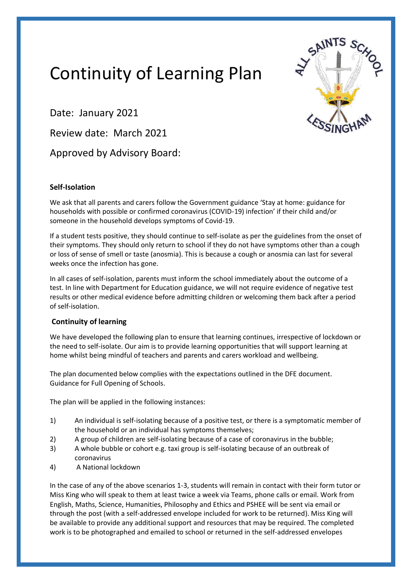## Continuity of Learning Plan



Date: January 2021

Review date: March 2021

Approved by Advisory Board:

## **Self-Isolation**

We ask that all parents and carers follow the Government guidance 'Stay at home: guidance for households with possible or confirmed coronavirus (COVID-19) infection' if their child and/or someone in the household develops symptoms of Covid-19.

If a student tests positive, they should continue to self-isolate as per the guidelines from the onset of their symptoms. They should only return to school if they do not have symptoms other than a cough or loss of sense of smell or taste (anosmia). This is because a cough or anosmia can last for several weeks once the infection has gone.

In all cases of self-isolation, parents must inform the school immediately about the outcome of a test. In line with Department for Education guidance, we will not require evidence of negative test results or other medical evidence before admitting children or welcoming them back after a period of self-isolation.

## **Continuity of learning**

We have developed the following plan to ensure that learning continues, irrespective of lockdown or the need to self-isolate. Our aim is to provide learning opportunities that will support learning at home whilst being mindful of teachers and parents and carers workload and wellbeing.

The plan documented below complies with the expectations outlined in the DFE document. Guidance for Full Opening of Schools.

The plan will be applied in the following instances:

- 1) An individual is self-isolating because of a positive test, or there is a symptomatic member of the household or an individual has symptoms themselves;
- 2) A group of children are self-isolating because of a case of coronavirus in the bubble;
- 3) A whole bubble or cohort e.g. taxi group is self-isolating because of an outbreak of coronavirus
- 4) A National lockdown

In the case of any of the above scenarios 1-3, students will remain in contact with their form tutor or Miss King who will speak to them at least twice a week via Teams, phone calls or email. Work from English, Maths, Science, Humanities, Philosophy and Ethics and PSHEE will be sent via email or through the post (with a self-addressed envelope included for work to be returned). Miss King will be available to provide any additional support and resources that may be required. The completed work is to be photographed and emailed to school or returned in the self-addressed envelopes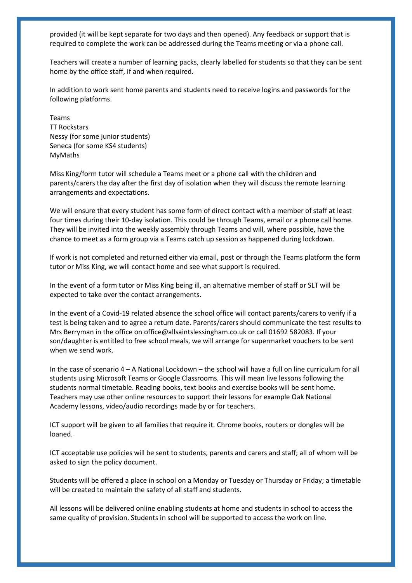provided (it will be kept separate for two days and then opened). Any feedback or support that is required to complete the work can be addressed during the Teams meeting or via a phone call.

Teachers will create a number of learning packs, clearly labelled for students so that they can be sent home by the office staff, if and when required.

In addition to work sent home parents and students need to receive logins and passwords for the following platforms.

Teams TT Rockstars Nessy (for some junior students) Seneca (for some KS4 students) MyMaths

Miss King/form tutor will schedule a Teams meet or a phone call with the children and parents/carers the day after the first day of isolation when they will discuss the remote learning arrangements and expectations.

We will ensure that every student has some form of direct contact with a member of staff at least four times during their 10-day isolation. This could be through Teams, email or a phone call home. They will be invited into the weekly assembly through Teams and will, where possible, have the chance to meet as a form group via a Teams catch up session as happened during lockdown.

If work is not completed and returned either via email, post or through the Teams platform the form tutor or Miss King, we will contact home and see what support is required.

In the event of a form tutor or Miss King being ill, an alternative member of staff or SLT will be expected to take over the contact arrangements.

In the event of a Covid-19 related absence the school office will contact parents/carers to verify if a test is being taken and to agree a return date. Parents/carers should communicate the test results to Mrs Berryman in the office on office@allsaintslessingham.co.uk or call 01692 582083. If your son/daughter is entitled to free school meals, we will arrange for supermarket vouchers to be sent when we send work.

In the case of scenario 4 – A National Lockdown – the school will have a full on line curriculum for all students using Microsoft Teams or Google Classrooms. This will mean live lessons following the students normal timetable. Reading books, text books and exercise books will be sent home. Teachers may use other online resources to support their lessons for example Oak National Academy lessons, video/audio recordings made by or for teachers.

ICT support will be given to all families that require it. Chrome books, routers or dongles will be loaned.

ICT acceptable use policies will be sent to students, parents and carers and staff; all of whom will be asked to sign the policy document.

Students will be offered a place in school on a Monday or Tuesday or Thursday or Friday; a timetable will be created to maintain the safety of all staff and students.

All lessons will be delivered online enabling students at home and students in school to access the same quality of provision. Students in school will be supported to access the work on line.